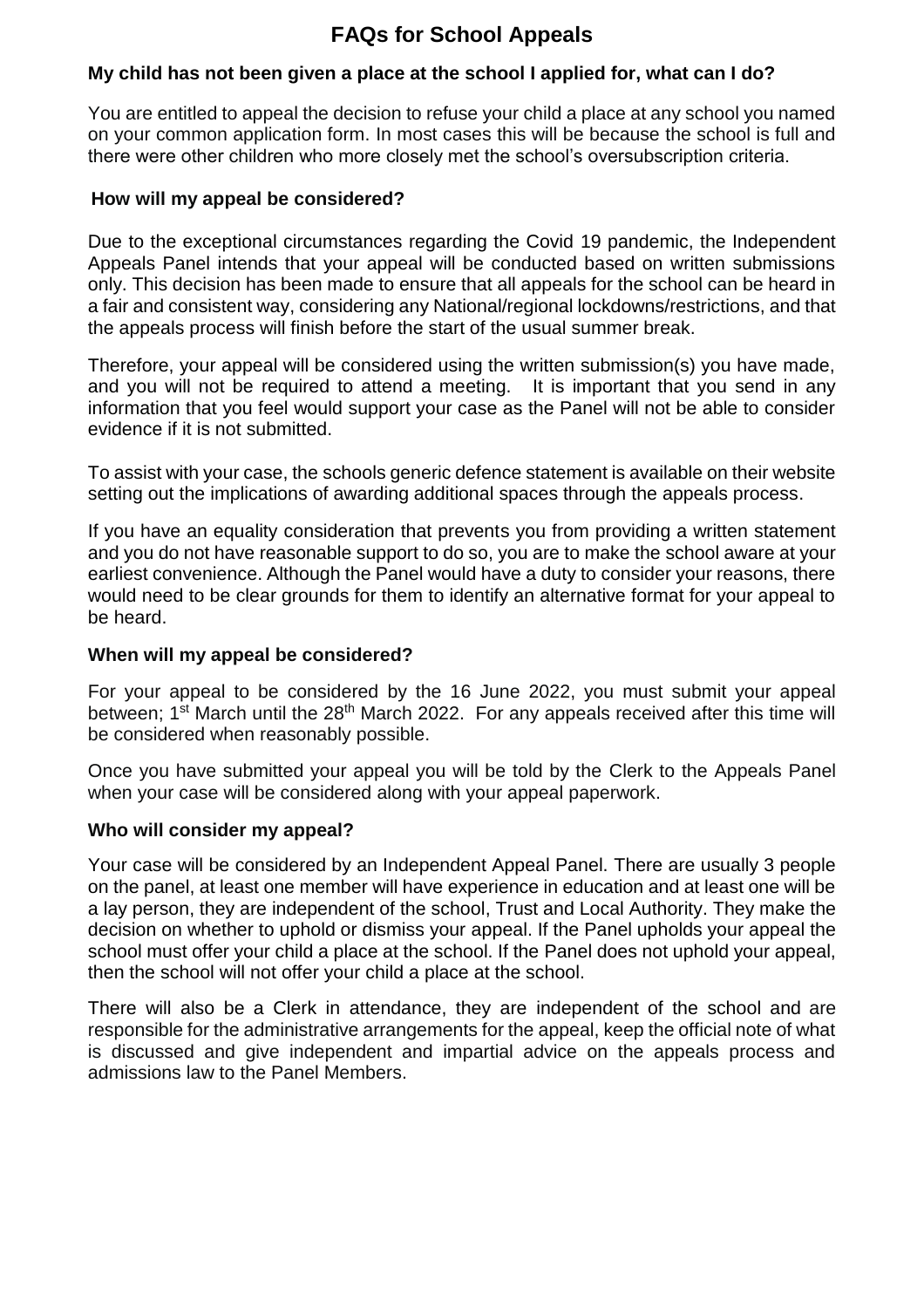# **FAQs for School Appeals**

# **My child has not been given a place at the school I applied for, what can I do?**

You are entitled to appeal the decision to refuse your child a place at any school you named on your common application form. In most cases this will be because the school is full and there were other children who more closely met the school's oversubscription criteria.

#### **How will my appeal be considered?**

Due to the exceptional circumstances regarding the Covid 19 pandemic, the Independent Appeals Panel intends that your appeal will be conducted based on written submissions only. This decision has been made to ensure that all appeals for the school can be heard in a fair and consistent way, considering any National/regional lockdowns/restrictions, and that the appeals process will finish before the start of the usual summer break.

Therefore, your appeal will be considered using the written submission(s) you have made, and you will not be required to attend a meeting. It is important that you send in any information that you feel would support your case as the Panel will not be able to consider evidence if it is not submitted.

To assist with your case, the schools generic defence statement is available on their website setting out the implications of awarding additional spaces through the appeals process.

If you have an equality consideration that prevents you from providing a written statement and you do not have reasonable support to do so, you are to make the school aware at your earliest convenience. Although the Panel would have a duty to consider your reasons, there would need to be clear grounds for them to identify an alternative format for your appeal to be heard.

#### **When will my appeal be considered?**

For your appeal to be considered by the 16 June 2022, you must submit your appeal between; 1<sup>st</sup> March until the 28<sup>th</sup> March 2022. For any appeals received after this time will be considered when reasonably possible.

Once you have submitted your appeal you will be told by the Clerk to the Appeals Panel when your case will be considered along with your appeal paperwork.

### **Who will consider my appeal?**

Your case will be considered by an Independent Appeal Panel. There are usually 3 people on the panel, at least one member will have experience in education and at least one will be a lay person, they are independent of the school, Trust and Local Authority. They make the decision on whether to uphold or dismiss your appeal. If the Panel upholds your appeal the school must offer your child a place at the school. If the Panel does not uphold your appeal, then the school will not offer your child a place at the school.

There will also be a Clerk in attendance, they are independent of the school and are responsible for the administrative arrangements for the appeal, keep the official note of what is discussed and give independent and impartial advice on the appeals process and admissions law to the Panel Members.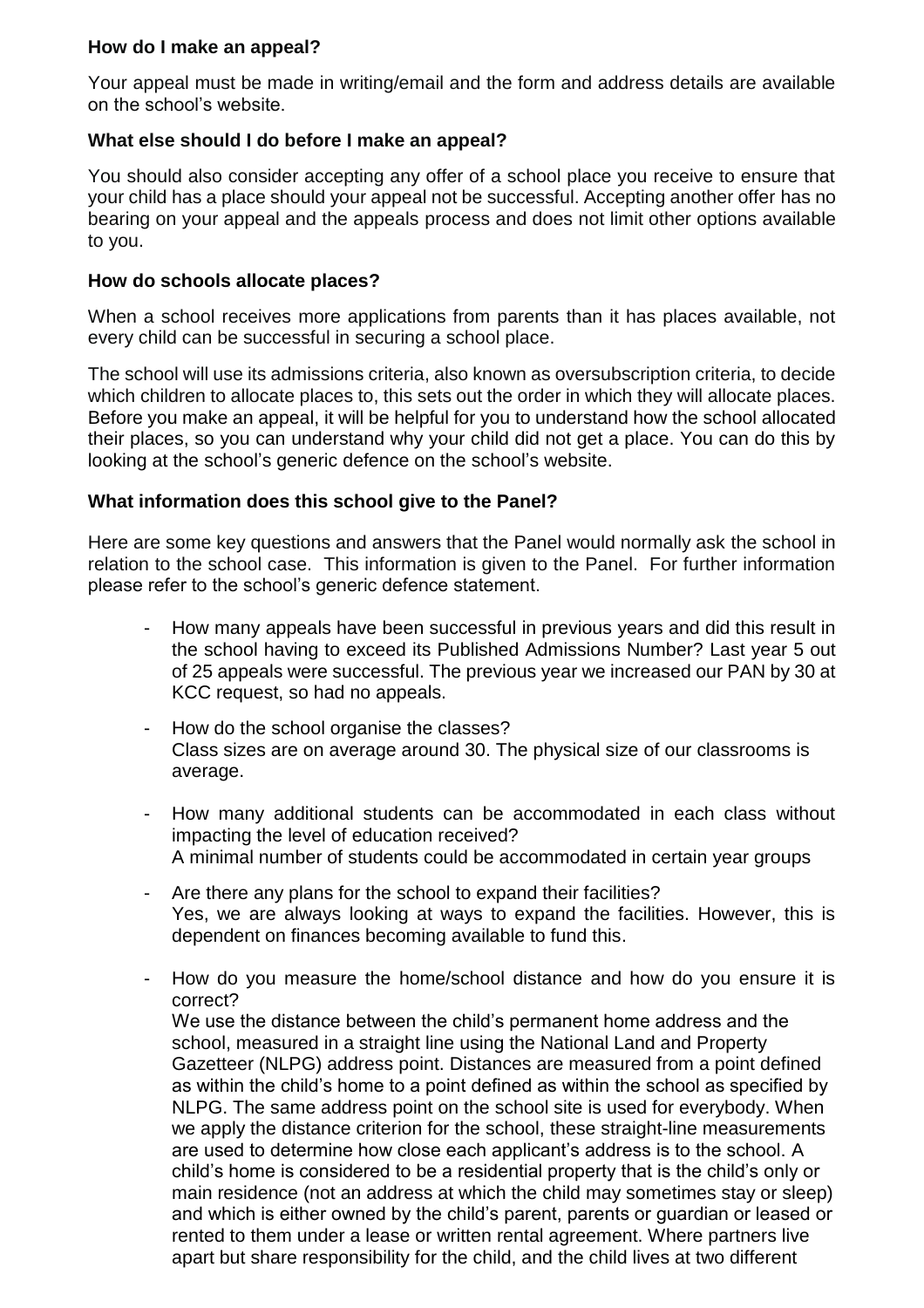### **How do I make an appeal?**

Your appeal must be made in writing/email and the form and address details are available on the school's website.

### **What else should I do before I make an appeal?**

You should also consider accepting any offer of a school place you receive to ensure that your child has a place should your appeal not be successful. Accepting another offer has no bearing on your appeal and the appeals process and does not limit other options available to you.

### **How do schools allocate places?**

When a school receives more applications from parents than it has places available, not every child can be successful in securing a school place.

The school will use its admissions criteria, also known as oversubscription criteria, to decide which children to allocate places to, this sets out the order in which they will allocate places. Before you make an appeal, it will be helpful for you to understand how the school allocated their places, so you can understand why your child did not get a place. You can do this by looking at the school's generic defence on the school's website.

### **What information does this school give to the Panel?**

Here are some key questions and answers that the Panel would normally ask the school in relation to the school case. This information is given to the Panel. For further information please refer to the school's generic defence statement.

- How many appeals have been successful in previous years and did this result in the school having to exceed its Published Admissions Number? Last year 5 out of 25 appeals were successful. The previous year we increased our PAN by 30 at KCC request, so had no appeals.
- How do the school organise the classes? Class sizes are on average around 30. The physical size of our classrooms is average.
- How many additional students can be accommodated in each class without impacting the level of education received? A minimal number of students could be accommodated in certain year groups
- Are there any plans for the school to expand their facilities? Yes, we are always looking at ways to expand the facilities. However, this is dependent on finances becoming available to fund this.
- How do you measure the home/school distance and how do you ensure it is correct?

We use the distance between the child's permanent home address and the school, measured in a straight line using the National Land and Property Gazetteer (NLPG) address point. Distances are measured from a point defined as within the child's home to a point defined as within the school as specified by NLPG. The same address point on the school site is used for everybody. When we apply the distance criterion for the school, these straight-line measurements are used to determine how close each applicant's address is to the school. A child's home is considered to be a residential property that is the child's only or main residence (not an address at which the child may sometimes stay or sleep) and which is either owned by the child's parent, parents or guardian or leased or rented to them under a lease or written rental agreement. Where partners live apart but share responsibility for the child, and the child lives at two different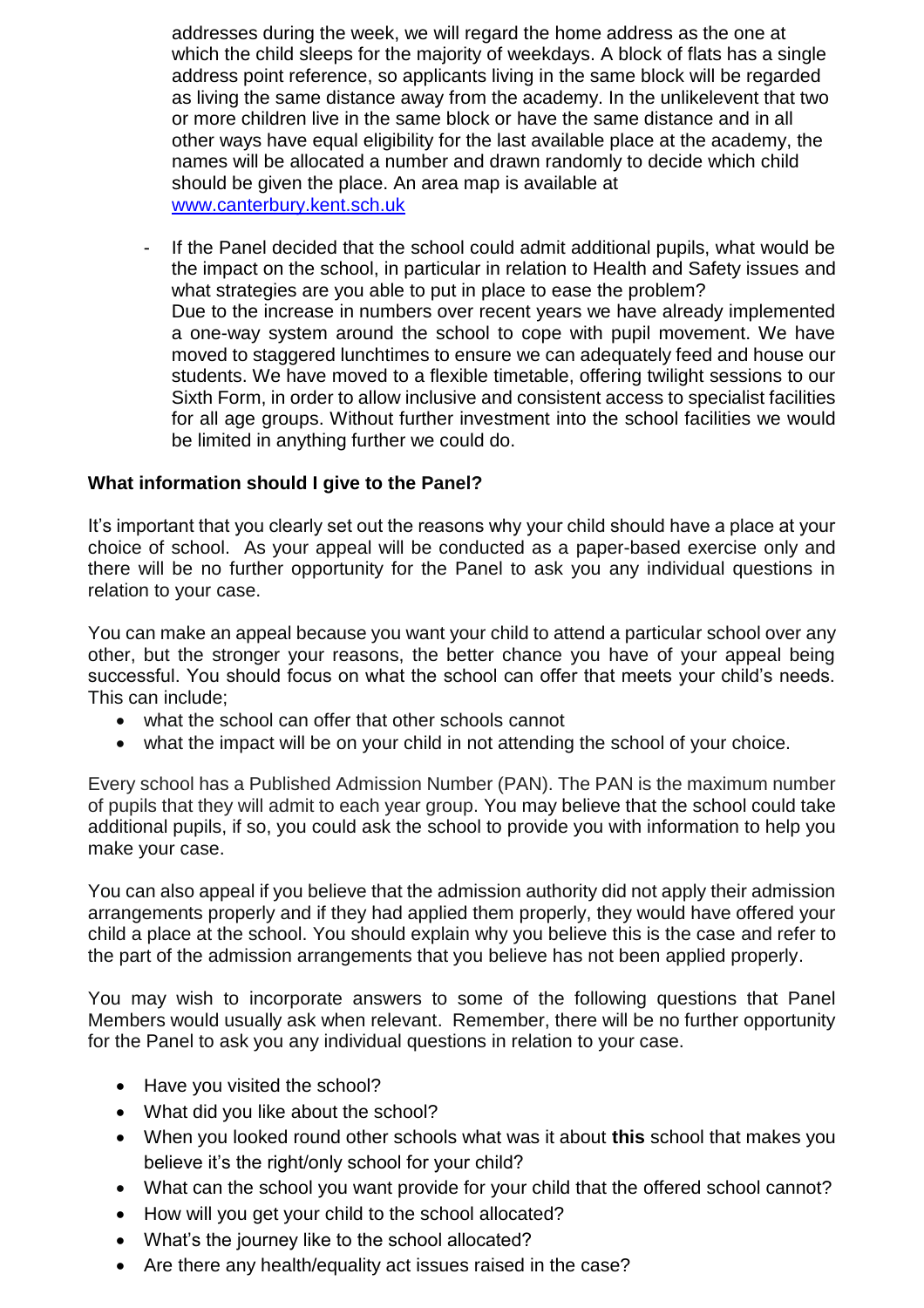addresses during the week, we will regard the home address as the one at which the child sleeps for the majority of weekdays. A block of flats has a single address point reference, so applicants living in the same block will be regarded as living the same distance away from the academy. In the unlikelevent that two or more children live in the same block or have the same distance and in all other ways have equal eligibility for the last available place at the academy, the names will be allocated a number and drawn randomly to decide which child should be given the place. An area map is available at [www.canterbury.kent.sch.uk](http://www.canterbury.kent.sch.uk/)

- If the Panel decided that the school could admit additional pupils, what would be the impact on the school, in particular in relation to Health and Safety issues and what strategies are you able to put in place to ease the problem? Due to the increase in numbers over recent years we have already implemented a one-way system around the school to cope with pupil movement. We have moved to staggered lunchtimes to ensure we can adequately feed and house our students. We have moved to a flexible timetable, offering twilight sessions to our Sixth Form, in order to allow inclusive and consistent access to specialist facilities for all age groups. Without further investment into the school facilities we would be limited in anything further we could do.

# **What information should I give to the Panel?**

It's important that you clearly set out the reasons why your child should have a place at your choice of school. As your appeal will be conducted as a paper-based exercise only and there will be no further opportunity for the Panel to ask you any individual questions in relation to your case.

You can make an appeal because you want your child to attend a particular school over any other, but the stronger your reasons, the better chance you have of your appeal being successful. You should focus on what the school can offer that meets your child's needs. This can include;

- what the school can offer that other schools cannot
- what the impact will be on your child in not attending the school of your choice.

Every school has a Published Admission Number (PAN). The PAN is the maximum number of pupils that they will admit to each year group. You may believe that the school could take additional pupils, if so, you could ask the school to provide you with information to help you make your case.

You can also appeal if you believe that the admission authority did not apply their admission arrangements properly and if they had applied them properly, they would have offered your child a place at the school. You should explain why you believe this is the case and refer to the part of the admission arrangements that you believe has not been applied properly.

You may wish to incorporate answers to some of the following questions that Panel Members would usually ask when relevant. Remember, there will be no further opportunity for the Panel to ask you any individual questions in relation to your case.

- Have you visited the school?
- What did you like about the school?
- When you looked round other schools what was it about **this** school that makes you believe it's the right/only school for your child?
- What can the school you want provide for your child that the offered school cannot?
- How will you get your child to the school allocated?
- What's the journey like to the school allocated?
- Are there any health/equality act issues raised in the case?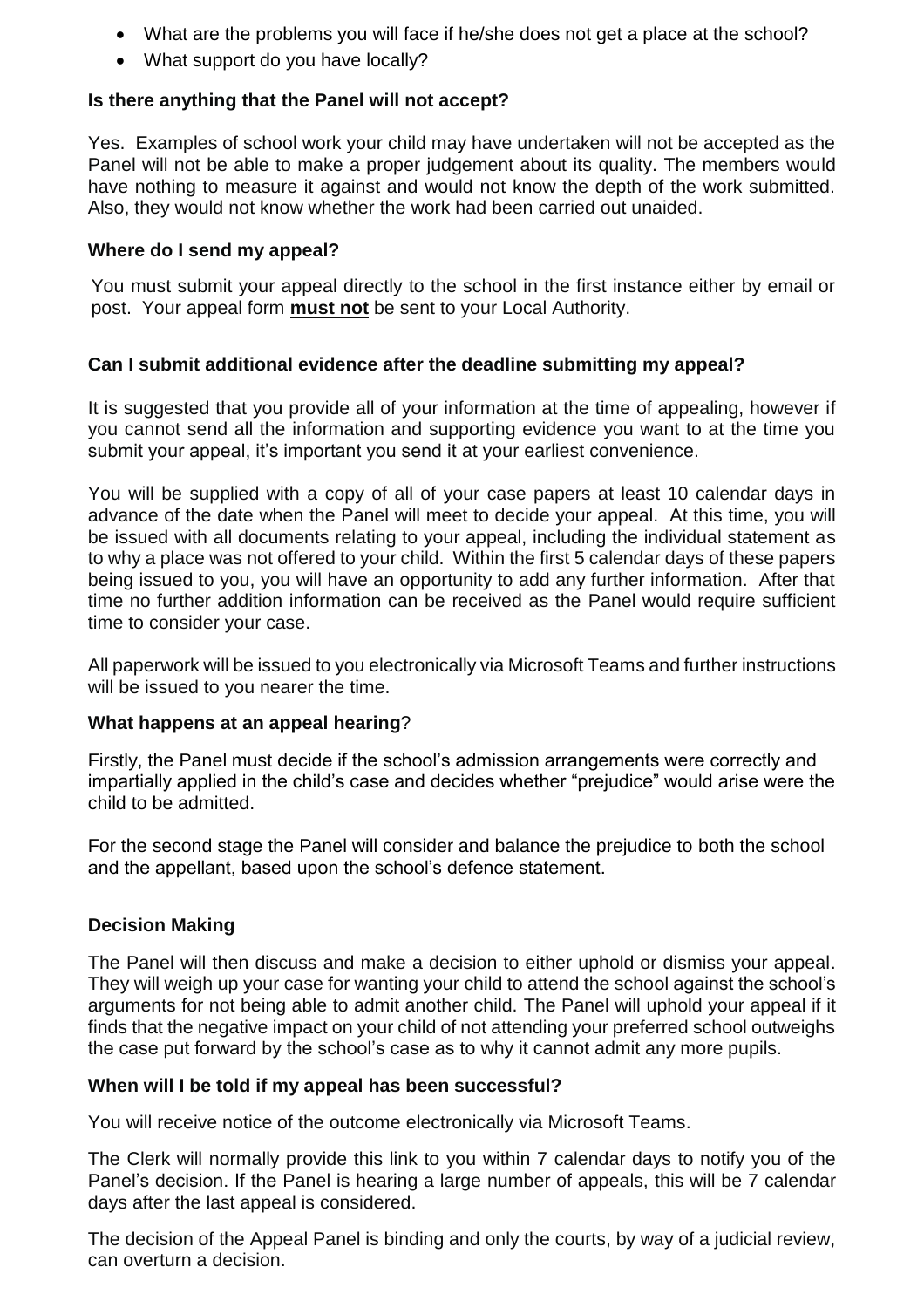- What are the problems you will face if he/she does not get a place at the school?
- What support do you have locally?

# **Is there anything that the Panel will not accept?**

Yes. Examples of school work your child may have undertaken will not be accepted as the Panel will not be able to make a proper judgement about its quality. The members would have nothing to measure it against and would not know the depth of the work submitted. Also, they would not know whether the work had been carried out unaided.

### **Where do I send my appeal?**

You must submit your appeal directly to the school in the first instance either by email or post. Your appeal form **must not** be sent to your Local Authority.

# **Can I submit additional evidence after the deadline submitting my appeal?**

It is suggested that you provide all of your information at the time of appealing, however if you cannot send all the information and supporting evidence you want to at the time you submit your appeal, it's important you send it at your earliest convenience.

You will be supplied with a copy of all of your case papers at least 10 calendar days in advance of the date when the Panel will meet to decide your appeal. At this time, you will be issued with all documents relating to your appeal, including the individual statement as to why a place was not offered to your child. Within the first 5 calendar days of these papers being issued to you, you will have an opportunity to add any further information. After that time no further addition information can be received as the Panel would require sufficient time to consider your case.

All paperwork will be issued to you electronically via Microsoft Teams and further instructions will be issued to you nearer the time.

### **What happens at an appeal hearing**?

Firstly, the Panel must decide if the school's admission arrangements were correctly and impartially applied in the child's case and decides whether "prejudice" would arise were the child to be admitted.

For the second stage the Panel will consider and balance the prejudice to both the school and the appellant, based upon the school's defence statement.

# **Decision Making**

The Panel will then discuss and make a decision to either uphold or dismiss your appeal. They will weigh up your case for wanting your child to attend the school against the school's arguments for not being able to admit another child. The Panel will uphold your appeal if it finds that the negative impact on your child of not attending your preferred school outweighs the case put forward by the school's case as to why it cannot admit any more pupils.

### **When will I be told if my appeal has been successful?**

You will receive notice of the outcome electronically via Microsoft Teams.

The Clerk will normally provide this link to you within 7 calendar days to notify you of the Panel's decision. If the Panel is hearing a large number of appeals, this will be 7 calendar days after the last appeal is considered.

The decision of the Appeal Panel is binding and only the courts, by way of a judicial review, can overturn a decision.